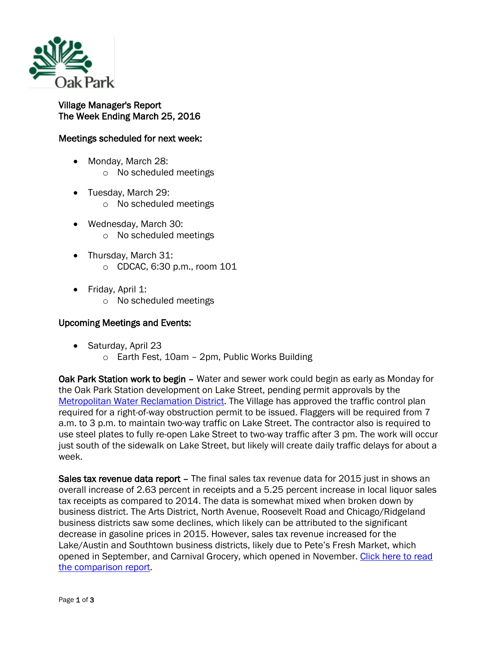

## Village Manager's Report The Week Ending March 25, 2016

## Meetings scheduled for next week:

- Monday, March 28:
	- o No scheduled meetings
- Tuesday, March 29: o No scheduled meetings
- Wednesday, March 30: o No scheduled meetings
- Thursday, March 31: o CDCAC, 6:30 p.m., room 101
- Friday, April 1:
	- o No scheduled meetings

## Upcoming Meetings and Events:

- Saturday, April 23
	- o Earth Fest, 10am 2pm, Public Works Building

Oak Park Station work to begin – Water and sewer work could begin as early as Monday for the Oak Park Station development on Lake Street, pending permit approvals by the [Metropolitan Water Reclamation District.](https://www.mwrd.org/irj/portal/anonymous/Home) The Village has approved the traffic control plan required for a right-of-way obstruction permit to be issued. Flaggers will be required from 7 a.m. to 3 p.m. to maintain two-way traffic on Lake Street. The contractor also is required to use steel plates to fully re-open Lake Street to two-way traffic after 3 pm. The work will occur just south of the sidewalk on Lake Street, but likely will create daily traffic delays for about a week.

Sales tax revenue data report – The final sales tax revenue data for 2015 just in shows an overall increase of 2.63 percent in receipts and a 5.25 percent increase in local liquor sales tax receipts as compared to 2014. The data is somewhat mixed when broken down by business district. The Arts District, North Avenue, Roosevelt Road and Chicago/Ridgeland business districts saw some declines, which likely can be attributed to the significant decrease in gasoline prices in 2015. However, sales tax revenue increased for the Lake/Austin and Southtown business districts, likely due to Pete's Fresh Market, which opened in September, and Carnival Grocery, which opened in November. [Click here to read](http://www.oak-park.us/sites/default/files/456678891/2016-03-23-2015-sales-tax-receipts-comparison.pdf)  [the comparison report.](http://www.oak-park.us/sites/default/files/456678891/2016-03-23-2015-sales-tax-receipts-comparison.pdf)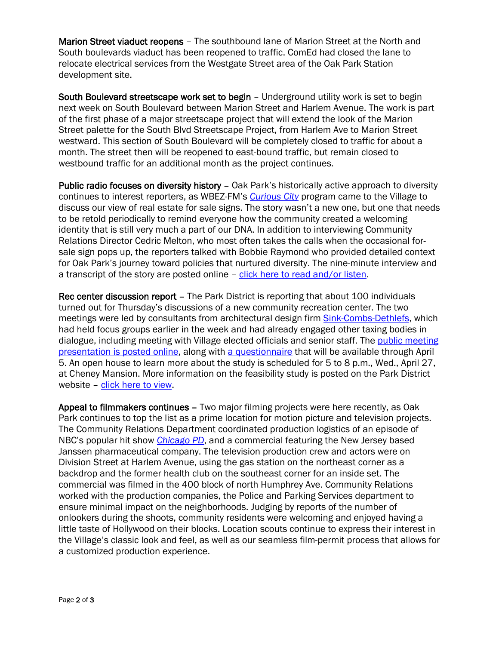Marion Street viaduct reopens – The southbound lane of Marion Street at the North and South boulevards viaduct has been reopened to traffic. ComEd had closed the lane to relocate electrical services from the Westgate Street area of the Oak Park Station development site.

South Boulevard streetscape work set to begin – Underground utility work is set to begin next week on South Boulevard between Marion Street and Harlem Avenue. The work is part of the first phase of a major streetscape project that will extend the look of the Marion Street palette for the South Blvd Streetscape Project, from Harlem Ave to Marion Street westward. This section of South Boulevard will be completely closed to traffic for about a month. The street then will be reopened to east-bound traffic, but remain closed to westbound traffic for an additional month as the project continues.

Public radio focuses on diversity history – Oak Park's historically active approach to diversity continues to interest reporters, as WBEZ-FM's *[Curious City](http://curiouscity.wbez.org/)* program came to the Village to discuss our view of real estate for sale signs. The story wasn't a new one, but one that needs to be retold periodically to remind everyone how the community created a welcoming identity that is still very much a part of our DNA. In addition to interviewing Community Relations Director Cedric Melton, who most often takes the calls when the occasional forsale sign pops up, the reporters talked with Bobbie Raymond who provided detailed context for Oak Park's journey toward policies that nurtured diversity. The nine-minute interview and a transcript of the story are posted online – [click here to read and/or listen.](https://www.wbez.org/shows/curious-city/why-for-sale-signs-are-banned-in-oak-park/5d93f1e7-8540-495c-bbca-6bc7a4430702)

Rec center discussion report – The Park District is reporting that about 100 individuals turned out for Thursday's discussions of a new community recreation center. The two meetings were led by consultants from architectural design firm **Sink-Combs-Dethlefs**, which had held focus groups earlier in the week and had already engaged other taxing bodies in dialogue, including meeting with Village elected officials and senior staff. The [public meeting](http://www.pdop.org/assets/1/7/3_23_2016_Oak_Park_Public_Mtg_FINAL_small.pdf)  [presentation is posted online,](http://www.pdop.org/assets/1/7/3_23_2016_Oak_Park_Public_Mtg_FINAL_small.pdf) along with [a questionnaire](https://www.surveygizmo.com/s3/2669122/Community-Recreation-Center-Feasibility-Study) that will be available through April 5. An open house to learn more about the study is scheduled for 5 to 8 p.m., Wed., April 27, at Cheney Mansion. More information on the feasibility study is posted on the Park District website - [click here to view.](http://www.pdop.org/about/feasibility-study/)

Appeal to filmmakers continues – Two major filming projects were here recently, as Oak Park continues to top the list as a prime location for motion picture and television projects. The Community Relations Department coordinated production logistics of an episode of NBC's popular hit show *[Chicago](http://www.nbc.com/chicago-pd) PD*, and a commercial featuring the New Jersey based Janssen pharmaceutical company. The television production crew and actors were on Division Street at Harlem Avenue, using the gas station on the northeast corner as a backdrop and the former health club on the southeast corner for an inside set. The commercial was filmed in the 400 block of north Humphrey Ave. Community Relations worked with the production companies, the Police and Parking Services department to ensure minimal impact on the neighborhoods. Judging by reports of the number of onlookers during the shoots, community residents were welcoming and enjoyed having a little taste of Hollywood on their blocks. Location scouts continue to express their interest in the Village's classic look and feel, as well as our seamless film-permit process that allows for a customized production experience.